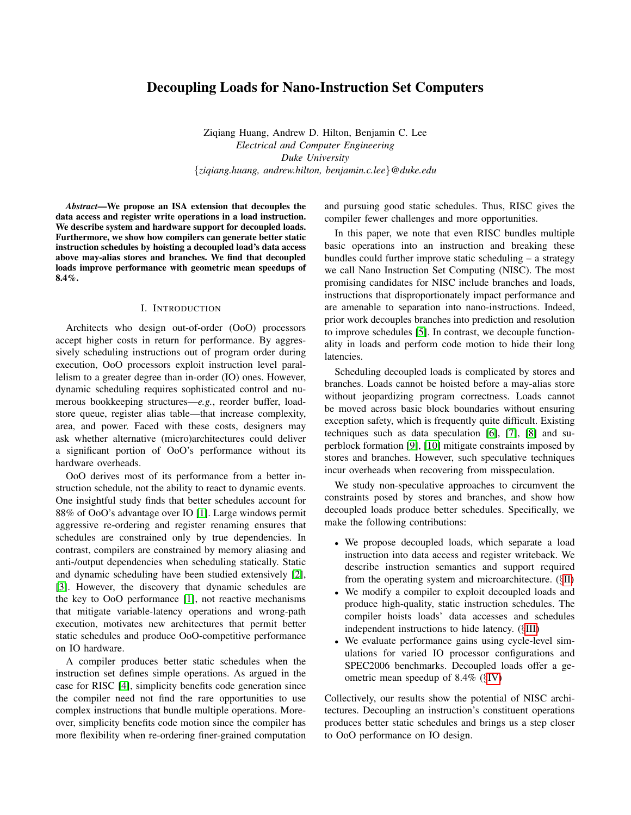# Decoupling Loads for Nano-Instruction Set Computers

Ziqiang Huang, Andrew D. Hilton, Benjamin C. Lee *Electrical and Computer Engineering Duke University* {*ziqiang.huang, andrew.hilton, benjamin.c.lee*}*@duke.edu*

*Abstract*—We propose an ISA extension that decouples the data access and register write operations in a load instruction. We describe system and hardware support for decoupled loads. Furthermore, we show how compilers can generate better static instruction schedules by hoisting a decoupled load's data access above may-alias stores and branches. We find that decoupled loads improve performance with geometric mean speedups of 8.4%.

### I. INTRODUCTION

Architects who design out-of-order (OoO) processors accept higher costs in return for performance. By aggressively scheduling instructions out of program order during execution, OoO processors exploit instruction level parallelism to a greater degree than in-order (IO) ones. However, dynamic scheduling requires sophisticated control and numerous bookkeeping structures—*e.g.*, reorder buffer, loadstore queue, register alias table—that increase complexity, area, and power. Faced with these costs, designers may ask whether alternative (micro)architectures could deliver a significant portion of OoO's performance without its hardware overheads.

OoO derives most of its performance from a better instruction schedule, not the ability to react to dynamic events. One insightful study finds that better schedules account for 88% of OoO's advantage over IO [\[1\]](#page-11-0). Large windows permit aggressive re-ordering and register renaming ensures that schedules are constrained only by true dependencies. In contrast, compilers are constrained by memory aliasing and anti-/output dependencies when scheduling statically. Static and dynamic scheduling have been studied extensively [\[2\]](#page-11-1), [\[3\]](#page-11-2). However, the discovery that dynamic schedules are the key to OoO performance [\[1\]](#page-11-0), not reactive mechanisms that mitigate variable-latency operations and wrong-path execution, motivates new architectures that permit better static schedules and produce OoO-competitive performance on IO hardware.

A compiler produces better static schedules when the instruction set defines simple operations. As argued in the case for RISC [\[4\]](#page-11-3), simplicity benefits code generation since the compiler need not find the rare opportunities to use complex instructions that bundle multiple operations. Moreover, simplicity benefits code motion since the compiler has more flexibility when re-ordering finer-grained computation and pursuing good static schedules. Thus, RISC gives the compiler fewer challenges and more opportunities.

In this paper, we note that even RISC bundles multiple basic operations into an instruction and breaking these bundles could further improve static scheduling – a strategy we call Nano Instruction Set Computing (NISC). The most promising candidates for NISC include branches and loads, instructions that disproportionately impact performance and are amenable to separation into nano-instructions. Indeed, prior work decouples branches into prediction and resolution to improve schedules [\[5\]](#page-11-4). In contrast, we decouple functionality in loads and perform code motion to hide their long latencies.

Scheduling decoupled loads is complicated by stores and branches. Loads cannot be hoisted before a may-alias store without jeopardizing program correctness. Loads cannot be moved across basic block boundaries without ensuring exception safety, which is frequently quite difficult. Existing techniques such as data speculation [\[6\]](#page-11-5), [\[7\]](#page-11-6), [\[8\]](#page-11-7) and superblock formation [\[9\]](#page-11-8), [\[10\]](#page-11-9) mitigate constraints imposed by stores and branches. However, such speculative techniques incur overheads when recovering from misspeculation.

We study non-speculative approaches to circumvent the constraints posed by stores and branches, and show how decoupled loads produce better schedules. Specifically, we make the following contributions:

- We propose decoupled loads, which separate a load instruction into data access and register writeback. We describe instruction semantics and support required from the operating system and microarchitecture. (§[II\)](#page-1-0)
- We modify a compiler to exploit decoupled loads and produce high-quality, static instruction schedules. The compiler hoists loads' data accesses and schedules independent instructions to hide latency. (§[III\)](#page-3-0)
- We evaluate performance gains using cycle-level simulations for varied IO processor configurations and SPEC2006 benchmarks. Decoupled loads offer a geometric mean speedup of 8.4% (§[IV\)](#page-7-0)

Collectively, our results show the potential of NISC architectures. Decoupling an instruction's constituent operations produces better static schedules and brings us a step closer to OoO performance on IO design.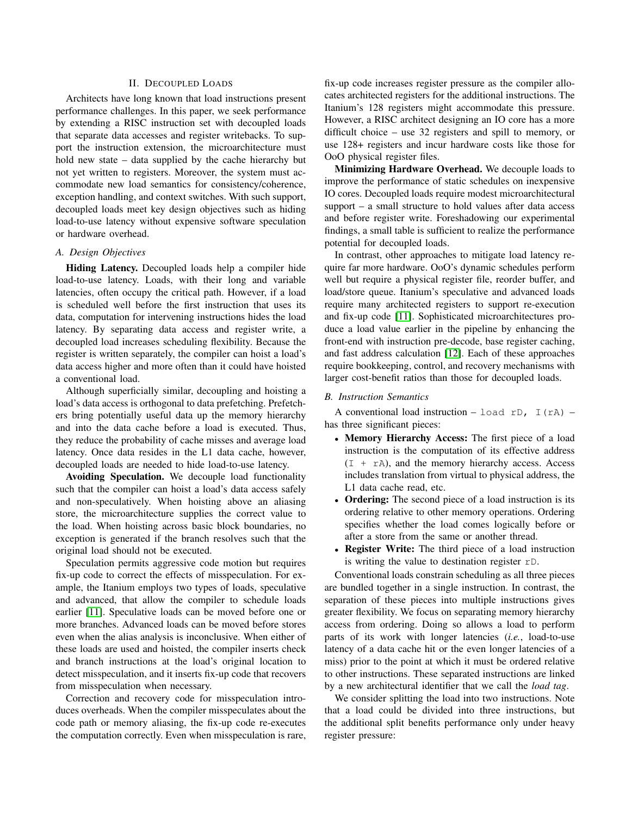# II. DECOUPLED LOADS

<span id="page-1-0"></span>Architects have long known that load instructions present performance challenges. In this paper, we seek performance by extending a RISC instruction set with decoupled loads that separate data accesses and register writebacks. To support the instruction extension, the microarchitecture must hold new state – data supplied by the cache hierarchy but not yet written to registers. Moreover, the system must accommodate new load semantics for consistency/coherence, exception handling, and context switches. With such support, decoupled loads meet key design objectives such as hiding load-to-use latency without expensive software speculation or hardware overhead.

# *A. Design Objectives*

Hiding Latency. Decoupled loads help a compiler hide load-to-use latency. Loads, with their long and variable latencies, often occupy the critical path. However, if a load is scheduled well before the first instruction that uses its data, computation for intervening instructions hides the load latency. By separating data access and register write, a decoupled load increases scheduling flexibility. Because the register is written separately, the compiler can hoist a load's data access higher and more often than it could have hoisted a conventional load.

Although superficially similar, decoupling and hoisting a load's data access is orthogonal to data prefetching. Prefetchers bring potentially useful data up the memory hierarchy and into the data cache before a load is executed. Thus, they reduce the probability of cache misses and average load latency. Once data resides in the L1 data cache, however, decoupled loads are needed to hide load-to-use latency.

Avoiding Speculation. We decouple load functionality such that the compiler can hoist a load's data access safely and non-speculatively. When hoisting above an aliasing store, the microarchitecture supplies the correct value to the load. When hoisting across basic block boundaries, no exception is generated if the branch resolves such that the original load should not be executed.

Speculation permits aggressive code motion but requires fix-up code to correct the effects of misspeculation. For example, the Itanium employs two types of loads, speculative and advanced, that allow the compiler to schedule loads earlier [\[11\]](#page-11-10). Speculative loads can be moved before one or more branches. Advanced loads can be moved before stores even when the alias analysis is inconclusive. When either of these loads are used and hoisted, the compiler inserts check and branch instructions at the load's original location to detect misspeculation, and it inserts fix-up code that recovers from misspeculation when necessary.

Correction and recovery code for misspeculation introduces overheads. When the compiler misspeculates about the code path or memory aliasing, the fix-up code re-executes the computation correctly. Even when misspeculation is rare, fix-up code increases register pressure as the compiler allocates architected registers for the additional instructions. The Itanium's 128 registers might accommodate this pressure. However, a RISC architect designing an IO core has a more difficult choice – use 32 registers and spill to memory, or use 128+ registers and incur hardware costs like those for OoO physical register files.

Minimizing Hardware Overhead. We decouple loads to improve the performance of static schedules on inexpensive IO cores. Decoupled loads require modest microarchitectural support – a small structure to hold values after data access and before register write. Foreshadowing our experimental findings, a small table is sufficient to realize the performance potential for decoupled loads.

In contrast, other approaches to mitigate load latency require far more hardware. OoO's dynamic schedules perform well but require a physical register file, reorder buffer, and load/store queue. Itanium's speculative and advanced loads require many architected registers to support re-execution and fix-up code [\[11\]](#page-11-10). Sophisticated microarchitectures produce a load value earlier in the pipeline by enhancing the front-end with instruction pre-decode, base register caching, and fast address calculation [\[12\]](#page-11-11). Each of these approaches require bookkeeping, control, and recovery mechanisms with larger cost-benefit ratios than those for decoupled loads.

# *B. Instruction Semantics*

A conventional load instruction – load rD,  $I(rA)$  – has three significant pieces:

- Memory Hierarchy Access: The first piece of a load instruction is the computation of its effective address  $(I + rA)$ , and the memory hierarchy access. Access includes translation from virtual to physical address, the L1 data cache read, etc.
- Ordering: The second piece of a load instruction is its ordering relative to other memory operations. Ordering specifies whether the load comes logically before or after a store from the same or another thread.
- Register Write: The third piece of a load instruction is writing the value to destination register rD.

Conventional loads constrain scheduling as all three pieces are bundled together in a single instruction. In contrast, the separation of these pieces into multiple instructions gives greater flexibility. We focus on separating memory hierarchy access from ordering. Doing so allows a load to perform parts of its work with longer latencies (*i.e.*, load-to-use latency of a data cache hit or the even longer latencies of a miss) prior to the point at which it must be ordered relative to other instructions. These separated instructions are linked by a new architectural identifier that we call the *load tag*.

We consider splitting the load into two instructions. Note that a load could be divided into three instructions, but the additional split benefits performance only under heavy register pressure: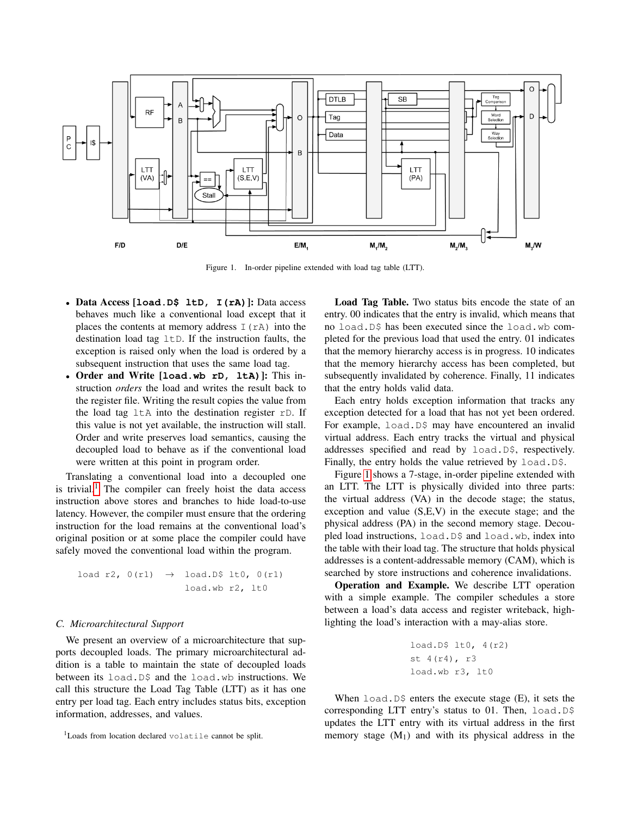

Figure 1. In-order pipeline extended with load tag table (LTT).

- Data Access [**load.D\$ ltD, I(rA)**]: Data access behaves much like a conventional load except that it places the contents at memory address  $I(rA)$  into the destination load tag  $ltD$ . If the instruction faults, the exception is raised only when the load is ordered by a subsequent instruction that uses the same load tag.
- Order and Write [**load.wb rD, ltA)**]: This instruction *orders* the load and writes the result back to the register file. Writing the result copies the value from the load tag  $l \pm A$  into the destination register  $rD$ . If this value is not yet available, the instruction will stall. Order and write preserves load semantics, causing the decoupled load to behave as if the conventional load were written at this point in program order.

Translating a conventional load into a decoupled one is trivial.<sup>[1](#page-2-0)</sup> The compiler can freely hoist the data access instruction above stores and branches to hide load-to-use latency. However, the compiler must ensure that the ordering instruction for the load remains at the conventional load's original position or at some place the compiler could have safely moved the conventional load within the program.

load r2, 
$$
0(r1) \rightarrow load.D\$ 1t0, 0(r1)
$$
  
loadwb r2, 1t0

### *C. Microarchitectural Support*

We present an overview of a microarchitecture that supports decoupled loads. The primary microarchitectural addition is a table to maintain the state of decoupled loads between its load.D\$ and the load.wb instructions. We call this structure the Load Tag Table (LTT) as it has one entry per load tag. Each entry includes status bits, exception information, addresses, and values.

<span id="page-2-1"></span>Load Tag Table. Two status bits encode the state of an entry. 00 indicates that the entry is invalid, which means that no load.D\$ has been executed since the load.wb completed for the previous load that used the entry. 01 indicates that the memory hierarchy access is in progress. 10 indicates that the memory hierarchy access has been completed, but subsequently invalidated by coherence. Finally, 11 indicates that the entry holds valid data.

Each entry holds exception information that tracks any exception detected for a load that has not yet been ordered. For example, load.D\$ may have encountered an invalid virtual address. Each entry tracks the virtual and physical addresses specified and read by load.D\$, respectively. Finally, the entry holds the value retrieved by load.D\$.

Figure [1](#page-2-1) shows a 7-stage, in-order pipeline extended with an LTT. The LTT is physically divided into three parts: the virtual address (VA) in the decode stage; the status, exception and value (S,E,V) in the execute stage; and the physical address (PA) in the second memory stage. Decoupled load instructions, load.D\$ and load.wb, index into the table with their load tag. The structure that holds physical addresses is a content-addressable memory (CAM), which is searched by store instructions and coherence invalidations.

Operation and Example. We describe LTT operation with a simple example. The compiler schedules a store between a load's data access and register writeback, highlighting the load's interaction with a may-alias store.

```
load.D$ lt0, 4(r2)
st 4(r4), r3
load.wb r3, lt0
```
When  $load.D$  enters the execute stage  $(E)$ , it sets the corresponding LTT entry's status to 01. Then, load.D\$ updates the LTT entry with its virtual address in the first memory stage  $(M_1)$  and with its physical address in the

<span id="page-2-0"></span><sup>1</sup>Loads from location declared volatile cannot be split.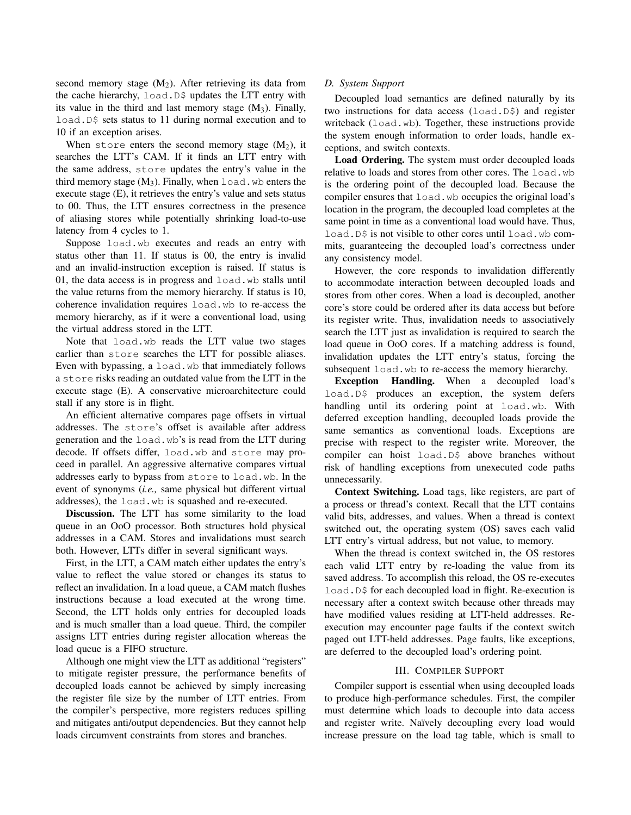second memory stage  $(M_2)$ . After retrieving its data from the cache hierarchy, load.D\$ updates the LTT entry with its value in the third and last memory stage  $(M_3)$ . Finally, load. D\$ sets status to 11 during normal execution and to 10 if an exception arises.

When store enters the second memory stage  $(M_2)$ , it searches the LTT's CAM. If it finds an LTT entry with the same address, store updates the entry's value in the third memory stage  $(M_3)$ . Finally, when load. wb enters the execute stage (E), it retrieves the entry's value and sets status to 00. Thus, the LTT ensures correctness in the presence of aliasing stores while potentially shrinking load-to-use latency from 4 cycles to 1.

Suppose load.wb executes and reads an entry with status other than 11. If status is 00, the entry is invalid and an invalid-instruction exception is raised. If status is 01, the data access is in progress and load.wb stalls until the value returns from the memory hierarchy. If status is 10, coherence invalidation requires load.wb to re-access the memory hierarchy, as if it were a conventional load, using the virtual address stored in the LTT.

Note that load.wb reads the LTT value two stages earlier than store searches the LTT for possible aliases. Even with bypassing, a load.wb that immediately follows a store risks reading an outdated value from the LTT in the execute stage (E). A conservative microarchitecture could stall if any store is in flight.

An efficient alternative compares page offsets in virtual addresses. The store's offset is available after address generation and the load.wb's is read from the LTT during decode. If offsets differ, load.wb and store may proceed in parallel. An aggressive alternative compares virtual addresses early to bypass from store to load.wb. In the event of synonyms (*i.e.,* same physical but different virtual addresses), the load.wb is squashed and re-executed.

Discussion. The LTT has some similarity to the load queue in an OoO processor. Both structures hold physical addresses in a CAM. Stores and invalidations must search both. However, LTTs differ in several significant ways.

First, in the LTT, a CAM match either updates the entry's value to reflect the value stored or changes its status to reflect an invalidation. In a load queue, a CAM match flushes instructions because a load executed at the wrong time. Second, the LTT holds only entries for decoupled loads and is much smaller than a load queue. Third, the compiler assigns LTT entries during register allocation whereas the load queue is a FIFO structure.

Although one might view the LTT as additional "registers" to mitigate register pressure, the performance benefits of decoupled loads cannot be achieved by simply increasing the register file size by the number of LTT entries. From the compiler's perspective, more registers reduces spilling and mitigates anti/output dependencies. But they cannot help loads circumvent constraints from stores and branches.

# *D. System Support*

Decoupled load semantics are defined naturally by its two instructions for data access (load.D\$) and register writeback (load.wb). Together, these instructions provide the system enough information to order loads, handle exceptions, and switch contexts.

Load Ordering. The system must order decoupled loads relative to loads and stores from other cores. The load.wb is the ordering point of the decoupled load. Because the compiler ensures that load.wb occupies the original load's location in the program, the decoupled load completes at the same point in time as a conventional load would have. Thus, load. D\$ is not visible to other cores until load. wb commits, guaranteeing the decoupled load's correctness under any consistency model.

However, the core responds to invalidation differently to accommodate interaction between decoupled loads and stores from other cores. When a load is decoupled, another core's store could be ordered after its data access but before its register write. Thus, invalidation needs to associatively search the LTT just as invalidation is required to search the load queue in OoO cores. If a matching address is found, invalidation updates the LTT entry's status, forcing the subsequent load.wb to re-access the memory hierarchy.

Exception Handling. When a decoupled load's load.D\$ produces an exception, the system defers handling until its ordering point at load.wb. With deferred exception handling, decoupled loads provide the same semantics as conventional loads. Exceptions are precise with respect to the register write. Moreover, the compiler can hoist load.D\$ above branches without risk of handling exceptions from unexecuted code paths unnecessarily.

Context Switching. Load tags, like registers, are part of a process or thread's context. Recall that the LTT contains valid bits, addresses, and values. When a thread is context switched out, the operating system (OS) saves each valid LTT entry's virtual address, but not value, to memory.

When the thread is context switched in, the OS restores each valid LTT entry by re-loading the value from its saved address. To accomplish this reload, the OS re-executes load.D\$ for each decoupled load in flight. Re-execution is necessary after a context switch because other threads may have modified values residing at LTT-held addresses. Reexecution may encounter page faults if the context switch paged out LTT-held addresses. Page faults, like exceptions, are deferred to the decoupled load's ordering point.

# III. COMPILER SUPPORT

<span id="page-3-0"></span>Compiler support is essential when using decoupled loads to produce high-performance schedules. First, the compiler must determine which loads to decouple into data access and register write. Naïvely decoupling every load would increase pressure on the load tag table, which is small to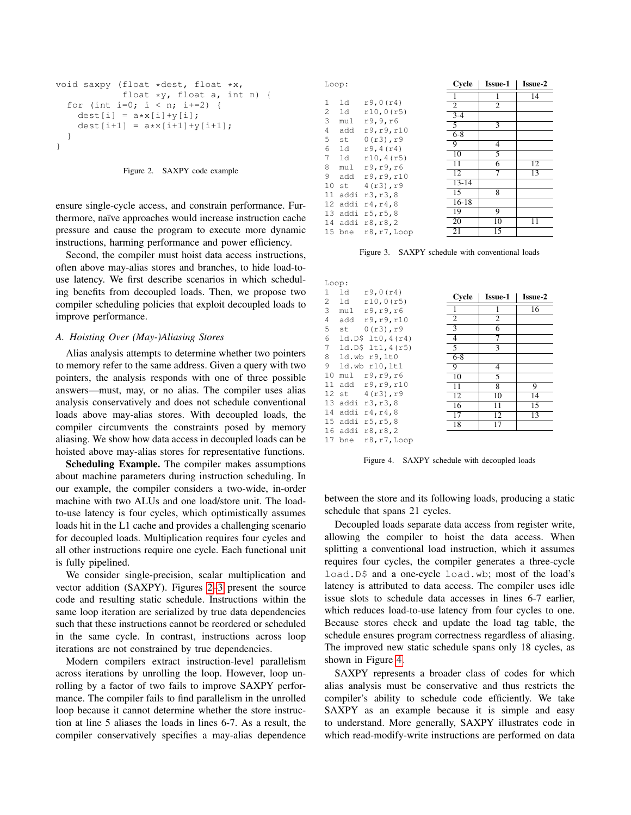```
void saxpy (float *dest, float *x,
            float *y, float a, int n) {
  for (int i=0; i < n; i+=2) {
    dest[i] = a * x[i] + y[i];dest[i+1] = a*x[i+1]+y[i+1];}
}
```
### Figure 2. SAXPY code example

<span id="page-4-0"></span>ensure single-cycle access, and constrain performance. Furthermore, naïve approaches would increase instruction cache pressure and cause the program to execute more dynamic instructions, harming performance and power efficiency.

Second, the compiler must hoist data access instructions, often above may-alias stores and branches, to hide load-touse latency. We first describe scenarios in which scheduling benefits from decoupled loads. Then, we propose two compiler scheduling policies that exploit decoupled loads to improve performance.

### *A. Hoisting Over (May-)Aliasing Stores*

Alias analysis attempts to determine whether two pointers to memory refer to the same address. Given a query with two pointers, the analysis responds with one of three possible answers—must, may, or no alias. The compiler uses alias analysis conservatively and does not schedule conventional loads above may-alias stores. With decoupled loads, the compiler circumvents the constraints posed by memory aliasing. We show how data access in decoupled loads can be hoisted above may-alias stores for representative functions.

Scheduling Example. The compiler makes assumptions about machine parameters during instruction scheduling. In our example, the compiler considers a two-wide, in-order machine with two ALUs and one load/store unit. The loadto-use latency is four cycles, which optimistically assumes loads hit in the L1 cache and provides a challenging scenario for decoupled loads. Multiplication requires four cycles and all other instructions require one cycle. Each functional unit is fully pipelined.

We consider single-precision, scalar multiplication and vector addition (SAXPY). Figures [2](#page-4-0)[–3](#page-4-1) present the source code and resulting static schedule. Instructions within the same loop iteration are serialized by true data dependencies such that these instructions cannot be reordered or scheduled in the same cycle. In contrast, instructions across loop iterations are not constrained by true dependencies.

Modern compilers extract instruction-level parallelism across iterations by unrolling the loop. However, loop unrolling by a factor of two fails to improve SAXPY performance. The compiler fails to find parallelism in the unrolled loop because it cannot determine whether the store instruction at line 5 aliases the loads in lines 6-7. As a result, the compiler conservatively specifies a may-alias dependence

| Loop: |        | Cycle          | <b>Issue-1</b> | <b>Issue-2</b> |    |
|-------|--------|----------------|----------------|----------------|----|
|       |        |                |                | 1              | 14 |
| 1     | 1d     | r9,0(r4)       | 2              | 2              |    |
| 2     | ld     | r10,0(r5)      | $3-4$          |                |    |
| 3     | mul    | r9,9,r6        | $\overline{5}$ | 3              |    |
| 4     | add    | r9, r9, r10    | $6 - 8$        |                |    |
| 5     | st     | $0(r3)$ , $r9$ |                |                |    |
| 6     | 1d     | r9, 4(r4)      | 9              | $\overline{4}$ |    |
| 7     | ld     | r10, 4(r5)     | 10             | 5              |    |
| 8     | mu1    | r9, r9, r6     | 11             | 6              | 12 |
| 9     | add    | r9, r9, r10    | 12             | 7              | 13 |
| 10    | st     | 4(r3), r9      | $13 - 14$      |                |    |
| 11    | addi   | r3, r3, 8      | 15             | 8              |    |
|       |        |                | $16 - 18$      |                |    |
| 12    | addi   | r4, r4, 8      | 19             | 9              |    |
| 13    | addi   | r5, r5, 8      |                |                |    |
| 14    |        | addi r8, r8, 2 | 20             | 10             | 11 |
|       | 15 bne | r8, r7, Loop   | 21             | 15             |    |

<span id="page-4-1"></span>Figure 3. SAXPY schedule with conventional loads

|    | Loop:   |                        |                |                 |                |
|----|---------|------------------------|----------------|-----------------|----------------|
| 1  | ld      | r9,0(r4)               | Cycle          | <b>Issue-1</b>  | <b>Issue-2</b> |
| 2  | ld      | r10,0(r5)              |                |                 |                |
| 3  |         | mul r9, r9, r6         |                | 1               | 16             |
| 4  |         | add r9, r9, r10        | 2              | 2               |                |
| 5  |         | $st = 0(r3)$ , r9      | 3              | 6               |                |
| 6  |         | $ld.D$ \$ $lt0, 4(r4)$ | $\overline{4}$ | 7               |                |
| 7  |         | $ld.D$ \$ $lt1, 4(r5)$ | $\overline{5}$ | $\overline{3}$  |                |
| 8  |         | ld.wb r9,1t0           | $6 - 8$        |                 |                |
| 9  |         | ld.wb r10, 1t1         | $\overline{9}$ | 4               |                |
| 10 |         | mul r9, r9, r6         | 10             | 5               |                |
|    |         | 11 add r9, r9, r10     | 11             | 8               | 9              |
|    |         | 12 st 4(r3), r9        | 12             | 10              | 14             |
|    |         | 13 addi r3, r3, 8      | 16             | $\overline{11}$ | 15             |
|    | 14 addi | r4, r4, 8              | 17             | 12              | 13             |
|    |         | 15 addi r5, r5,8       | 18             | 17              |                |
|    |         | 16 addi r8, r8, 2      |                |                 |                |
|    | 17 bne  | r8, r7, Loop           |                |                 |                |

<span id="page-4-2"></span>Figure 4. SAXPY schedule with decoupled loads

between the store and its following loads, producing a static schedule that spans 21 cycles.

Decoupled loads separate data access from register write, allowing the compiler to hoist the data access. When splitting a conventional load instruction, which it assumes requires four cycles, the compiler generates a three-cycle load.D\$ and a one-cycle load.wb; most of the load's latency is attributed to data access. The compiler uses idle issue slots to schedule data accesses in lines 6-7 earlier, which reduces load-to-use latency from four cycles to one. Because stores check and update the load tag table, the schedule ensures program correctness regardless of aliasing. The improved new static schedule spans only 18 cycles, as shown in Figure [4.](#page-4-2)

SAXPY represents a broader class of codes for which alias analysis must be conservative and thus restricts the compiler's ability to schedule code efficiently. We take SAXPY as an example because it is simple and easy to understand. More generally, SAXPY illustrates code in which read-modify-write instructions are performed on data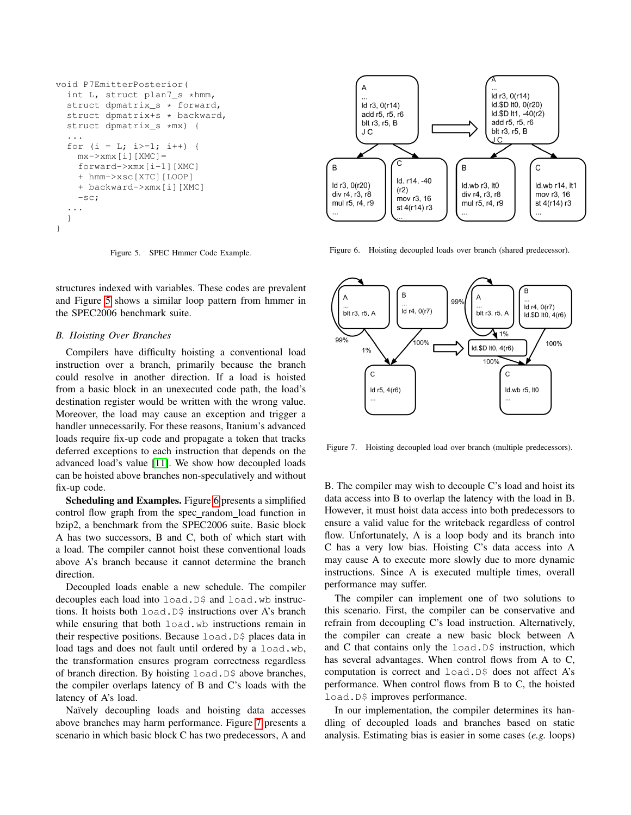```
void P7EmitterPosterior(
  int L, struct plan7_s *hmm,
  struct dpmatrix_s * forward,
  struct dpmatrix+s * backward,
  struct dpmatrix s *mx) {
  ...
  for (i = L; i>=1; i++) {
   mx->xmx[i][XMC]=forward->xmx[i-1][XMC]
    + hmm->xsc[XTC][LOOP]
    + backward->xmx[i][XMC]
    -sc;
  ...
  }
}
```
Figure 5. SPEC Hmmer Code Example.

<span id="page-5-0"></span>structures indexed with variables. These codes are prevalent and Figure [5](#page-5-0) shows a similar loop pattern from hmmer in the SPEC2006 benchmark suite.

# *B. Hoisting Over Branches*

Compilers have difficulty hoisting a conventional load instruction over a branch, primarily because the branch could resolve in another direction. If a load is hoisted from a basic block in an unexecuted code path, the load's destination register would be written with the wrong value. Moreover, the load may cause an exception and trigger a handler unnecessarily. For these reasons, Itanium's advanced loads require fix-up code and propagate a token that tracks deferred exceptions to each instruction that depends on the advanced load's value [\[11\]](#page-11-10). We show how decoupled loads can be hoisted above branches non-speculatively and without fix-up code.

Scheduling and Examples. Figure [6](#page-5-1) presents a simplified control flow graph from the spec random load function in bzip2, a benchmark from the SPEC2006 suite. Basic block A has two successors, B and C, both of which start with a load. The compiler cannot hoist these conventional loads above A's branch because it cannot determine the branch direction.

Decoupled loads enable a new schedule. The compiler decouples each load into load. D\$ and load. wb instructions. It hoists both load.D\$ instructions over A's branch while ensuring that both load.wb instructions remain in their respective positions. Because load.D\$ places data in load tags and does not fault until ordered by a load.wb, the transformation ensures program correctness regardless of branch direction. By hoisting load. D\$ above branches, the compiler overlaps latency of B and C's loads with the latency of A's load.

Naïvely decoupling loads and hoisting data accesses above branches may harm performance. Figure [7](#page-5-2) presents a scenario in which basic block C has two predecessors, A and



<span id="page-5-1"></span>Figure 6. Hoisting decoupled loads over branch (shared predecessor).



<span id="page-5-2"></span>Figure 7. Hoisting decoupled load over branch (multiple predecessors).

B. The compiler may wish to decouple C's load and hoist its data access into B to overlap the latency with the load in B. However, it must hoist data access into both predecessors to ensure a valid value for the writeback regardless of control flow. Unfortunately, A is a loop body and its branch into C has a very low bias. Hoisting C's data access into A may cause A to execute more slowly due to more dynamic instructions. Since A is executed multiple times, overall performance may suffer.

The compiler can implement one of two solutions to this scenario. First, the compiler can be conservative and refrain from decoupling C's load instruction. Alternatively, the compiler can create a new basic block between A and C that contains only the load.D\$ instruction, which has several advantages. When control flows from A to C, computation is correct and load.D\$ does not affect A's performance. When control flows from B to C, the hoisted load.D\$ improves performance.

In our implementation, the compiler determines its handling of decoupled loads and branches based on static analysis. Estimating bias is easier in some cases (*e.g.* loops)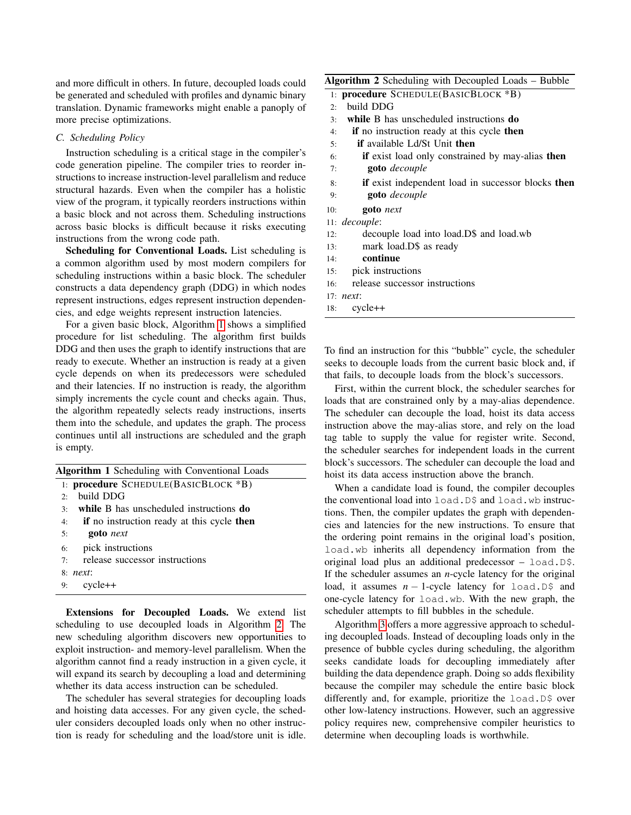and more difficult in others. In future, decoupled loads could be generated and scheduled with profiles and dynamic binary translation. Dynamic frameworks might enable a panoply of more precise optimizations.

### *C. Scheduling Policy*

Instruction scheduling is a critical stage in the compiler's code generation pipeline. The compiler tries to reorder instructions to increase instruction-level parallelism and reduce structural hazards. Even when the compiler has a holistic view of the program, it typically reorders instructions within a basic block and not across them. Scheduling instructions across basic blocks is difficult because it risks executing instructions from the wrong code path.

Scheduling for Conventional Loads. List scheduling is a common algorithm used by most modern compilers for scheduling instructions within a basic block. The scheduler constructs a data dependency graph (DDG) in which nodes represent instructions, edges represent instruction dependencies, and edge weights represent instruction latencies.

For a given basic block, Algorithm [1](#page-6-0) shows a simplified procedure for list scheduling. The algorithm first builds DDG and then uses the graph to identify instructions that are ready to execute. Whether an instruction is ready at a given cycle depends on when its predecessors were scheduled and their latencies. If no instruction is ready, the algorithm simply increments the cycle count and checks again. Thus, the algorithm repeatedly selects ready instructions, inserts them into the schedule, and updates the graph. The process continues until all instructions are scheduled and the graph is empty.

<span id="page-6-0"></span>

|     | <b>Algorithm 1</b> Scheduling with Conventional Loads |
|-----|-------------------------------------------------------|
|     | 1: <b>procedure</b> SCHEDULE(BASICBLOCK *B)           |
| 2.5 | build DDG                                             |
| 3:  | while B has unscheduled instructions do               |
| 4:  | if no instruction ready at this cycle then            |
| 5:  | <b>goto</b> next                                      |
| 6:  | pick instructions                                     |
| 7.  | release successor instructions                        |
|     | $8$ <i>next:</i>                                      |
| 9:  | cycle++                                               |

Extensions for Decoupled Loads. We extend list scheduling to use decoupled loads in Algorithm [2.](#page-6-1) The new scheduling algorithm discovers new opportunities to exploit instruction- and memory-level parallelism. When the algorithm cannot find a ready instruction in a given cycle, it will expand its search by decoupling a load and determining whether its data access instruction can be scheduled.

The scheduler has several strategies for decoupling loads and hoisting data accesses. For any given cycle, the scheduler considers decoupled loads only when no other instruction is ready for scheduling and the load/store unit is idle.

# Algorithm 2 Scheduling with Decoupled Loads – Bubble

<span id="page-6-1"></span>

|     | 1: <b>procedure</b> SCHEDULE(BASICBLOCK *B)                    |
|-----|----------------------------------------------------------------|
| 2.5 | build DDG                                                      |
| 3:  | while B has unscheduled instructions <b>do</b>                 |
| 4:  | <b>if</b> no instruction ready at this cycle <b>then</b>       |
| 5:  | <b>if</b> available Ld/St Unit <b>then</b>                     |
| 6:  | <b>if</b> exist load only constrained by may-alias <b>then</b> |
| 7:  | <b>goto</b> decouple                                           |
| 8:  | <b>if</b> exist independent load in successor blocks then      |
| 9:  | <b>goto</b> decouple                                           |
| 10: | <b>goto</b> next                                               |
|     | 11: <i>decouple</i> :                                          |
| 12: | decouple load into load. D\$ and load. wb                      |
|     |                                                                |

- 13: mark load.D\$ as ready
- 14: continue
- 15: pick instructions
- 16: release successor instructions
- 17: *next*:
- 18: cycle++

To find an instruction for this "bubble" cycle, the scheduler seeks to decouple loads from the current basic block and, if that fails, to decouple loads from the block's successors.

First, within the current block, the scheduler searches for loads that are constrained only by a may-alias dependence. The scheduler can decouple the load, hoist its data access instruction above the may-alias store, and rely on the load tag table to supply the value for register write. Second, the scheduler searches for independent loads in the current block's successors. The scheduler can decouple the load and hoist its data access instruction above the branch.

When a candidate load is found, the compiler decouples the conventional load into load. D\$ and load. wb instructions. Then, the compiler updates the graph with dependencies and latencies for the new instructions. To ensure that the ordering point remains in the original load's position, load.wb inherits all dependency information from the original load plus an additional predecessor – load.D\$. If the scheduler assumes an *n*-cycle latency for the original load, it assumes *n* − 1-cycle latency for load.D\$ and one-cycle latency for load.wb. With the new graph, the scheduler attempts to fill bubbles in the schedule.

Algorithm [3](#page-7-1) offers a more aggressive approach to scheduling decoupled loads. Instead of decoupling loads only in the presence of bubble cycles during scheduling, the algorithm seeks candidate loads for decoupling immediately after building the data dependence graph. Doing so adds flexibility because the compiler may schedule the entire basic block differently and, for example, prioritize the load. D\$ over other low-latency instructions. However, such an aggressive policy requires new, comprehensive compiler heuristics to determine when decoupling loads is worthwhile.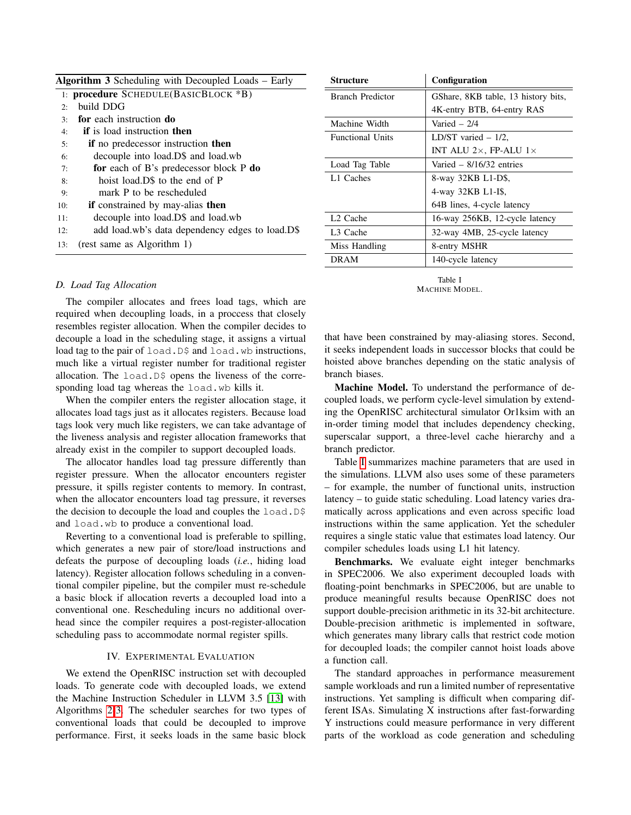<span id="page-7-1"></span>

| Algorithm 3 Scheduling with Decoupled Loads – Early |                                                 |  |
|-----------------------------------------------------|-------------------------------------------------|--|
|                                                     | 1: procedure SCHEDULE(BASICBLOCK *B)            |  |
| 2:                                                  | build DDG                                       |  |
| 3.5                                                 | for each instruction do                         |  |
| 4:                                                  | <b>if</b> is load instruction <b>then</b>       |  |
| 5:                                                  | if no predecessor instruction then              |  |
| 6:                                                  | decouple into load. D\$ and load. wb            |  |
| 7:                                                  | for each of B's predecessor block P do          |  |
| 8:                                                  | hoist load.D\$ to the end of P                  |  |
| 9:                                                  | mark P to be rescheduled                        |  |
| 10:                                                 | <b>if</b> constrained by may-alias <b>then</b>  |  |
| 11:                                                 | decouple into load. D\$ and load. wb            |  |
| 12:                                                 | add load.wb's data dependency edges to load.D\$ |  |
| 13:                                                 | (rest same as Algorithm 1)                      |  |

### *D. Load Tag Allocation*

The compiler allocates and frees load tags, which are required when decoupling loads, in a proccess that closely resembles register allocation. When the compiler decides to decouple a load in the scheduling stage, it assigns a virtual load tag to the pair of load.D\$ and load.wb instructions, much like a virtual register number for traditional register allocation. The load. D\$ opens the liveness of the corresponding load tag whereas the load.wb kills it.

When the compiler enters the register allocation stage, it allocates load tags just as it allocates registers. Because load tags look very much like registers, we can take advantage of the liveness analysis and register allocation frameworks that already exist in the compiler to support decoupled loads.

The allocator handles load tag pressure differently than register pressure. When the allocator encounters register pressure, it spills register contents to memory. In contrast, when the allocator encounters load tag pressure, it reverses the decision to decouple the load and couples the  $load.D\$ and load.wb to produce a conventional load.

Reverting to a conventional load is preferable to spilling, which generates a new pair of store/load instructions and defeats the purpose of decoupling loads (*i.e.*, hiding load latency). Register allocation follows scheduling in a conventional compiler pipeline, but the compiler must re-schedule a basic block if allocation reverts a decoupled load into a conventional one. Rescheduling incurs no additional overhead since the compiler requires a post-register-allocation scheduling pass to accommodate normal register spills.

### IV. EXPERIMENTAL EVALUATION

<span id="page-7-0"></span>We extend the OpenRISC instruction set with decoupled loads. To generate code with decoupled loads, we extend the Machine Instruction Scheduler in LLVM 3.5 [\[13\]](#page-11-12) with Algorithms [2-](#page-6-1)[3.](#page-7-1) The scheduler searches for two types of conventional loads that could be decoupled to improve performance. First, it seeks loads in the same basic block

| Structure               | Configuration                        |
|-------------------------|--------------------------------------|
| Branch Predictor        | GShare, 8KB table, 13 history bits,  |
|                         | 4K-entry BTB, 64-entry RAS           |
| Machine Width           | Varied $-2/4$                        |
| <b>Functional Units</b> | LD/ST varied $-1/2$ ,                |
|                         | INT ALU $2\times$ , FP-ALU $1\times$ |
| Load Tag Table          | Varied $-$ 8/16/32 entries           |
| L1 Caches               | 8-way 32KB L1-D\$.                   |
|                         | 4-way 32KB L1-I\$,                   |
|                         | 64B lines, 4-cycle latency           |
| L <sub>2</sub> Cache    | 16-way 256KB, 12-cycle latency       |
| L <sub>3</sub> Cache    | 32-way 4MB, 25-cycle latency         |
| Miss Handling           | 8-entry MSHR                         |
| <b>DRAM</b>             | 140-cycle latency                    |

Table I MACHINE MODEL.

<span id="page-7-2"></span>that have been constrained by may-aliasing stores. Second, it seeks independent loads in successor blocks that could be hoisted above branches depending on the static analysis of branch biases.

Machine Model. To understand the performance of decoupled loads, we perform cycle-level simulation by extending the OpenRISC architectural simulator Or1ksim with an in-order timing model that includes dependency checking, superscalar support, a three-level cache hierarchy and a branch predictor.

Table [I](#page-7-2) summarizes machine parameters that are used in the simulations. LLVM also uses some of these parameters – for example, the number of functional units, instruction latency – to guide static scheduling. Load latency varies dramatically across applications and even across specific load instructions within the same application. Yet the scheduler requires a single static value that estimates load latency. Our compiler schedules loads using L1 hit latency.

Benchmarks. We evaluate eight integer benchmarks in SPEC2006. We also experiment decoupled loads with floating-point benchmarks in SPEC2006, but are unable to produce meaningful results because OpenRISC does not support double-precision arithmetic in its 32-bit architecture. Double-precision arithmetic is implemented in software, which generates many library calls that restrict code motion for decoupled loads; the compiler cannot hoist loads above a function call.

The standard approaches in performance measurement sample workloads and run a limited number of representative instructions. Yet sampling is difficult when comparing different ISAs. Simulating X instructions after fast-forwarding Y instructions could measure performance in very different parts of the workload as code generation and scheduling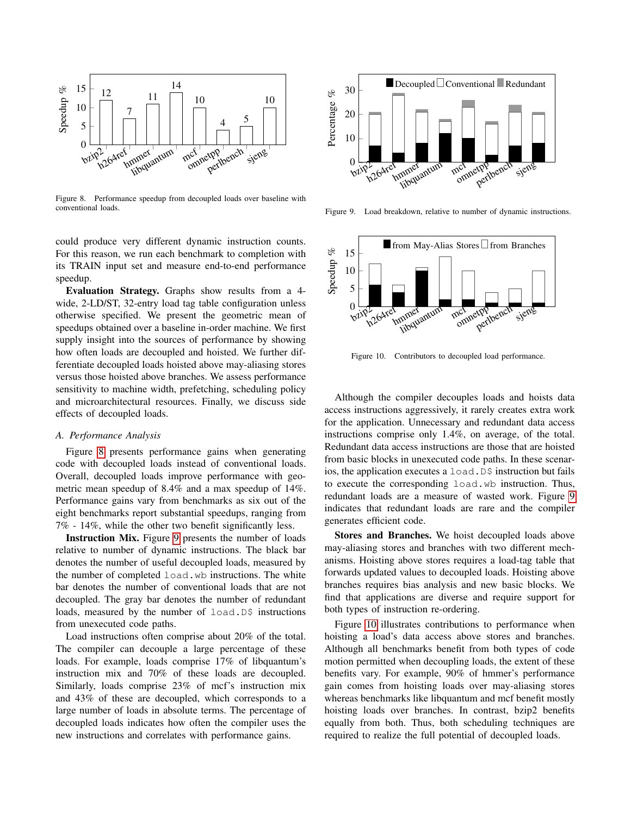

Figure 8. Performance speedup from decoupled loads over baseline with conventional loads.

could produce very different dynamic instruction counts. For this reason, we run each benchmark to completion with its TRAIN input set and measure end-to-end performance speedup.

Evaluation Strategy. Graphs show results from a 4 wide, 2-LD/ST, 32-entry load tag table configuration unless otherwise specified. We present the geometric mean of speedups obtained over a baseline in-order machine. We first supply insight into the sources of performance by showing how often loads are decoupled and hoisted. We further differentiate decoupled loads hoisted above may-aliasing stores versus those hoisted above branches. We assess performance sensitivity to machine width, prefetching, scheduling policy and microarchitectural resources. Finally, we discuss side effects of decoupled loads.

# *A. Performance Analysis*

Figure [8](#page-8-0) presents performance gains when generating code with decoupled loads instead of conventional loads. Overall, decoupled loads improve performance with geometric mean speedup of 8.4% and a max speedup of 14%. Performance gains vary from benchmarks as six out of the eight benchmarks report substantial speedups, ranging from 7% - 14%, while the other two benefit significantly less.

Instruction Mix. Figure [9](#page-8-1) presents the number of loads relative to number of dynamic instructions. The black bar denotes the number of useful decoupled loads, measured by the number of completed load.wb instructions. The white bar denotes the number of conventional loads that are not decoupled. The gray bar denotes the number of redundant loads, measured by the number of load.D\$ instructions from unexecuted code paths.

Load instructions often comprise about 20% of the total. The compiler can decouple a large percentage of these loads. For example, loads comprise 17% of libquantum's instruction mix and 70% of these loads are decoupled. Similarly, loads comprise 23% of mcf's instruction mix and 43% of these are decoupled, which corresponds to a large number of loads in absolute terms. The percentage of decoupled loads indicates how often the compiler uses the new instructions and correlates with performance gains.



<span id="page-8-1"></span><span id="page-8-0"></span>Figure 9. Load breakdown, relative to number of dynamic instructions.



<span id="page-8-2"></span>Figure 10. Contributors to decoupled load performance.

Although the compiler decouples loads and hoists data access instructions aggressively, it rarely creates extra work for the application. Unnecessary and redundant data access instructions comprise only 1.4%, on average, of the total. Redundant data access instructions are those that are hoisted from basic blocks in unexecuted code paths. In these scenarios, the application executes a load. D\$ instruction but fails to execute the corresponding load.wb instruction. Thus, redundant loads are a measure of wasted work. Figure [9](#page-8-1) indicates that redundant loads are rare and the compiler generates efficient code.

Stores and Branches. We hoist decoupled loads above may-aliasing stores and branches with two different mechanisms. Hoisting above stores requires a load-tag table that forwards updated values to decoupled loads. Hoisting above branches requires bias analysis and new basic blocks. We find that applications are diverse and require support for both types of instruction re-ordering.

Figure [10](#page-8-2) illustrates contributions to performance when hoisting a load's data access above stores and branches. Although all benchmarks benefit from both types of code motion permitted when decoupling loads, the extent of these benefits vary. For example, 90% of hmmer's performance gain comes from hoisting loads over may-aliasing stores whereas benchmarks like libquantum and mcf benefit mostly hoisting loads over branches. In contrast, bzip2 benefits equally from both. Thus, both scheduling techniques are required to realize the full potential of decoupled loads.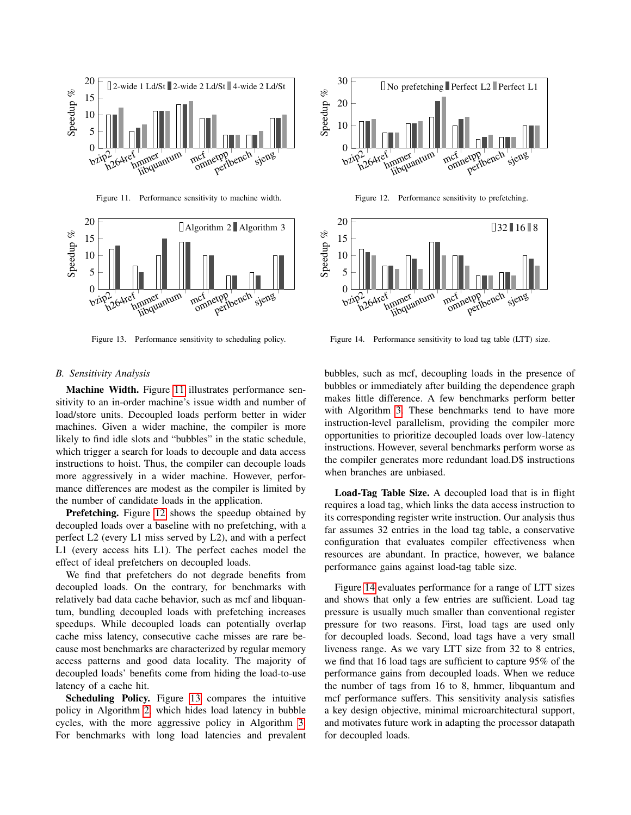

Figure 11. Performance sensitivity to machine width.



Figure 13. Performance sensitivity to scheduling policy.



<span id="page-9-1"></span>Figure 12. Performance sensitivity to prefetching.

<span id="page-9-0"></span>

<span id="page-9-3"></span><span id="page-9-2"></span>Figure 14. Performance sensitivity to load tag table (LTT) size.

### *B. Sensitivity Analysis*

Machine Width. Figure [11](#page-9-0) illustrates performance sensitivity to an in-order machine's issue width and number of load/store units. Decoupled loads perform better in wider machines. Given a wider machine, the compiler is more likely to find idle slots and "bubbles" in the static schedule, which trigger a search for loads to decouple and data access instructions to hoist. Thus, the compiler can decouple loads more aggressively in a wider machine. However, performance differences are modest as the compiler is limited by the number of candidate loads in the application.

**Prefetching.** Figure [12](#page-9-1) shows the speedup obtained by decoupled loads over a baseline with no prefetching, with a perfect L2 (every L1 miss served by L2), and with a perfect L1 (every access hits L1). The perfect caches model the effect of ideal prefetchers on decoupled loads.

We find that prefetchers do not degrade benefits from decoupled loads. On the contrary, for benchmarks with relatively bad data cache behavior, such as mcf and libquantum, bundling decoupled loads with prefetching increases speedups. While decoupled loads can potentially overlap cache miss latency, consecutive cache misses are rare because most benchmarks are characterized by regular memory access patterns and good data locality. The majority of decoupled loads' benefits come from hiding the load-to-use latency of a cache hit.

Scheduling Policy. Figure [13](#page-9-2) compares the intuitive policy in Algorithm [2,](#page-6-1) which hides load latency in bubble cycles, with the more aggressive policy in Algorithm [3.](#page-7-1) For benchmarks with long load latencies and prevalent bubbles, such as mcf, decoupling loads in the presence of bubbles or immediately after building the dependence graph makes little difference. A few benchmarks perform better with Algorithm [3.](#page-7-1) These benchmarks tend to have more instruction-level parallelism, providing the compiler more opportunities to prioritize decoupled loads over low-latency instructions. However, several benchmarks perform worse as the compiler generates more redundant load.D\$ instructions when branches are unbiased.

Load-Tag Table Size. A decoupled load that is in flight requires a load tag, which links the data access instruction to its corresponding register write instruction. Our analysis thus far assumes 32 entries in the load tag table, a conservative configuration that evaluates compiler effectiveness when resources are abundant. In practice, however, we balance performance gains against load-tag table size.

Figure [14](#page-9-3) evaluates performance for a range of LTT sizes and shows that only a few entries are sufficient. Load tag pressure is usually much smaller than conventional register pressure for two reasons. First, load tags are used only for decoupled loads. Second, load tags have a very small liveness range. As we vary LTT size from 32 to 8 entries, we find that 16 load tags are sufficient to capture 95% of the performance gains from decoupled loads. When we reduce the number of tags from 16 to 8, hmmer, libquantum and mcf performance suffers. This sensitivity analysis satisfies a key design objective, minimal microarchitectural support, and motivates future work in adapting the processor datapath for decoupled loads.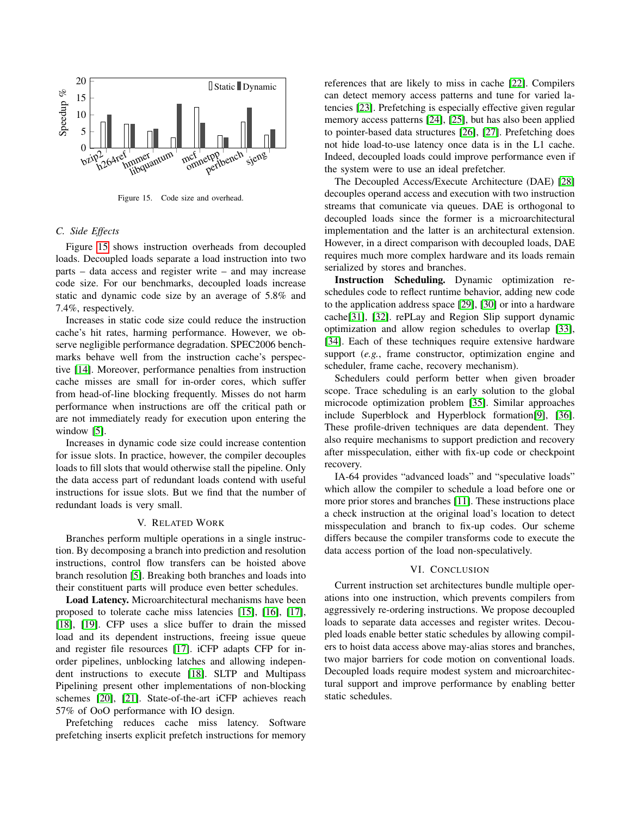

Figure 15. Code size and overhead.

# *C. Side Effects*

Figure [15](#page-10-0) shows instruction overheads from decoupled loads. Decoupled loads separate a load instruction into two parts – data access and register write – and may increase code size. For our benchmarks, decoupled loads increase static and dynamic code size by an average of 5.8% and 7.4%, respectively.

Increases in static code size could reduce the instruction cache's hit rates, harming performance. However, we observe negligible performance degradation. SPEC2006 benchmarks behave well from the instruction cache's perspective [\[14\]](#page-11-13). Moreover, performance penalties from instruction cache misses are small for in-order cores, which suffer from head-of-line blocking frequently. Misses do not harm performance when instructions are off the critical path or are not immediately ready for execution upon entering the window [\[5\]](#page-11-4).

Increases in dynamic code size could increase contention for issue slots. In practice, however, the compiler decouples loads to fill slots that would otherwise stall the pipeline. Only the data access part of redundant loads contend with useful instructions for issue slots. But we find that the number of redundant loads is very small.

# V. RELATED WORK

Branches perform multiple operations in a single instruction. By decomposing a branch into prediction and resolution instructions, control flow transfers can be hoisted above branch resolution [\[5\]](#page-11-4). Breaking both branches and loads into their constituent parts will produce even better schedules.

Load Latency. Microarchitectural mechanisms have been proposed to tolerate cache miss latencies [\[15\]](#page-11-14), [\[16\]](#page-11-15), [\[17\]](#page-11-16), [\[18\]](#page-11-17), [\[19\]](#page-11-18). CFP uses a slice buffer to drain the missed load and its dependent instructions, freeing issue queue and register file resources [\[17\]](#page-11-16). iCFP adapts CFP for inorder pipelines, unblocking latches and allowing independent instructions to execute [\[18\]](#page-11-17). SLTP and Multipass Pipelining present other implementations of non-blocking schemes [\[20\]](#page-11-19), [\[21\]](#page-11-20). State-of-the-art iCFP achieves reach 57% of OoO performance with IO design.

Prefetching reduces cache miss latency. Software prefetching inserts explicit prefetch instructions for memory references that are likely to miss in cache [\[22\]](#page-11-21). Compilers can detect memory access patterns and tune for varied latencies [\[23\]](#page-11-22). Prefetching is especially effective given regular memory access patterns [\[24\]](#page-11-23), [\[25\]](#page-11-24), but has also been applied to pointer-based data structures [\[26\]](#page-11-25), [\[27\]](#page-11-26). Prefetching does not hide load-to-use latency once data is in the L1 cache. Indeed, decoupled loads could improve performance even if the system were to use an ideal prefetcher.

<span id="page-10-0"></span>The Decoupled Access/Execute Architecture (DAE) [\[28\]](#page-11-27) decouples operand access and execution with two instruction streams that comunicate via queues. DAE is orthogonal to decoupled loads since the former is a microarchitectural implementation and the latter is an architectural extension. However, in a direct comparison with decoupled loads, DAE requires much more complex hardware and its loads remain serialized by stores and branches.

Instruction Scheduling. Dynamic optimization reschedules code to reflect runtime behavior, adding new code to the application address space [\[29\]](#page-11-28), [\[30\]](#page-11-29) or into a hardware cache[\[31\]](#page-11-30), [\[32\]](#page-11-31). rePLay and Region Slip support dynamic optimization and allow region schedules to overlap [\[33\]](#page-11-32), [\[34\]](#page-11-33). Each of these techniques require extensive hardware support (*e.g.*, frame constructor, optimization engine and scheduler, frame cache, recovery mechanism).

Schedulers could perform better when given broader scope. Trace scheduling is an early solution to the global microcode optimization problem [\[35\]](#page-11-34). Similar approaches include Superblock and Hyperblock formation[\[9\]](#page-11-8), [\[36\]](#page-11-35). These profile-driven techniques are data dependent. They also require mechanisms to support prediction and recovery after misspeculation, either with fix-up code or checkpoint recovery.

IA-64 provides "advanced loads" and "speculative loads" which allow the compiler to schedule a load before one or more prior stores and branches [\[11\]](#page-11-10). These instructions place a check instruction at the original load's location to detect misspeculation and branch to fix-up codes. Our scheme differs because the compiler transforms code to execute the data access portion of the load non-speculatively.

### VI. CONCLUSION

Current instruction set architectures bundle multiple operations into one instruction, which prevents compilers from aggressively re-ordering instructions. We propose decoupled loads to separate data accesses and register writes. Decoupled loads enable better static schedules by allowing compilers to hoist data access above may-alias stores and branches, two major barriers for code motion on conventional loads. Decoupled loads require modest system and microarchitectural support and improve performance by enabling better static schedules.